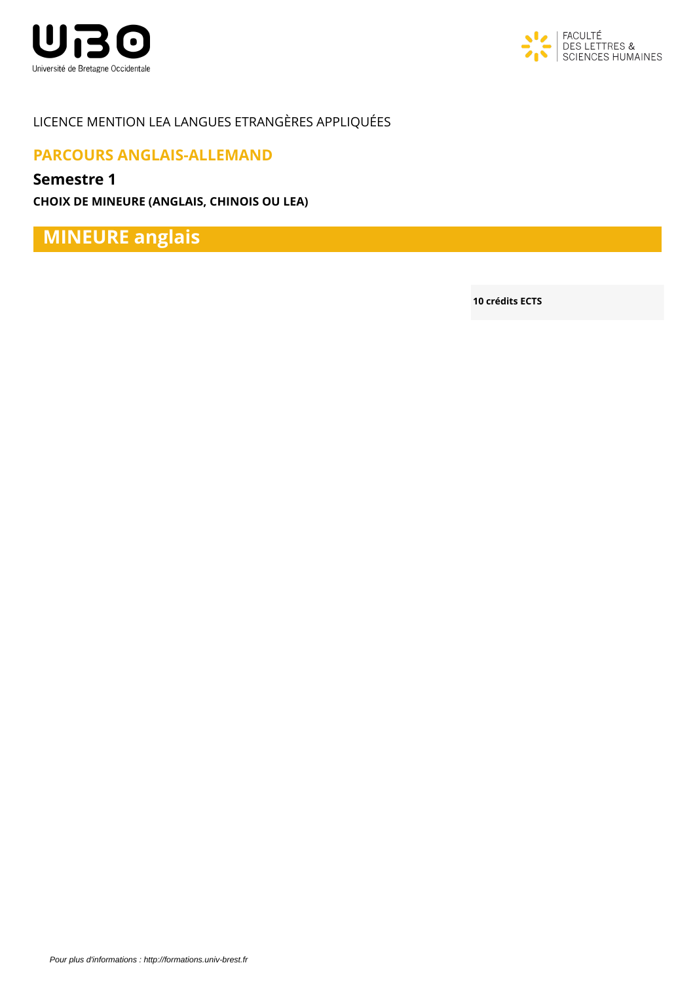



## LICENCE MENTION LEA LANGUES ETRANGÈRES APPLIQUÉES

## **PARCOURS ANGLAIS-ALLEMAND**

### **Semestre 1**

**CHOIX DE MINEURE (ANGLAIS, CHINOIS OU LEA)**

**MINEURE anglais**

**10 crédits ECTS**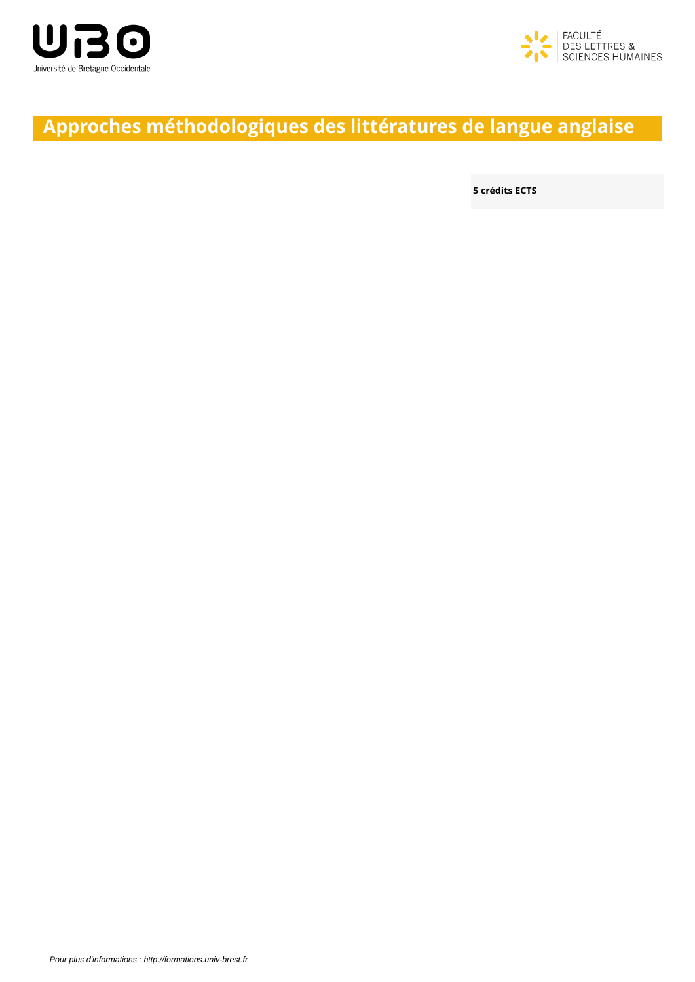



# **Approches méthodologiques des littératures de langue anglaise**

**5 crédits ECTS**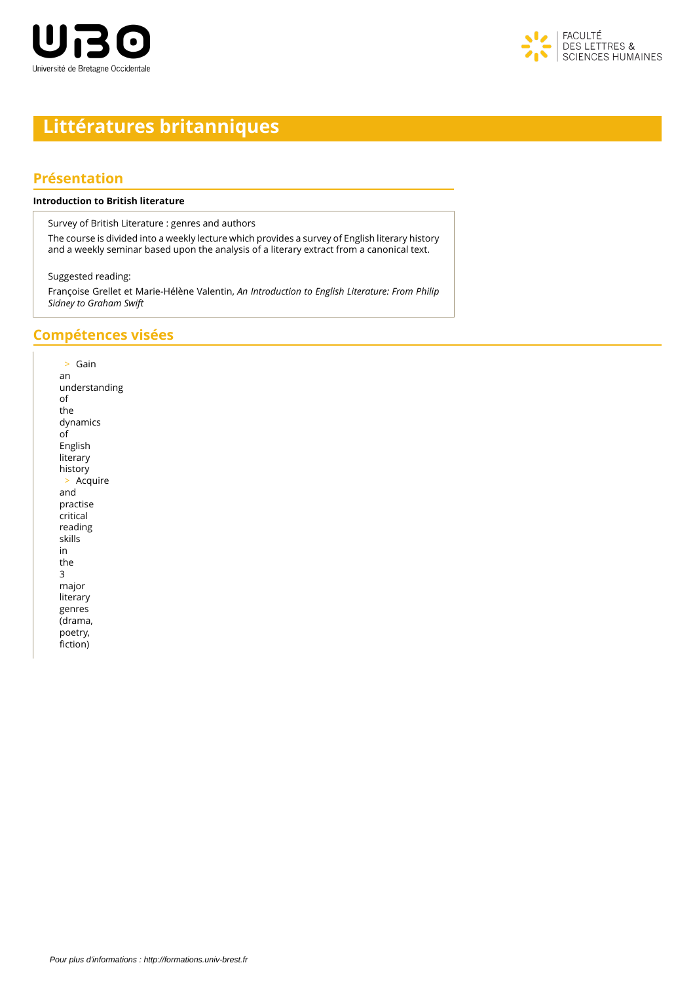



# **Littératures britanniques**

#### **Présentation**

#### **Introduction to British literature**

Survey of British Literature : genres and authors

The course is divided into a weekly lecture which provides a survey of English literary history and a weekly seminar based upon the analysis of a literary extract from a canonical text.

Suggested reading:

Françoise Grellet et Marie-Hélène Valentin, *An Introduction to English Literature: From Philip Sidney to Graham Swift*

#### **Compétences visées**

> Gain an understanding of the dynamics of English literary history > Acquire and practise critical reading skills in the 3 major literary genres (drama, poetry, fiction)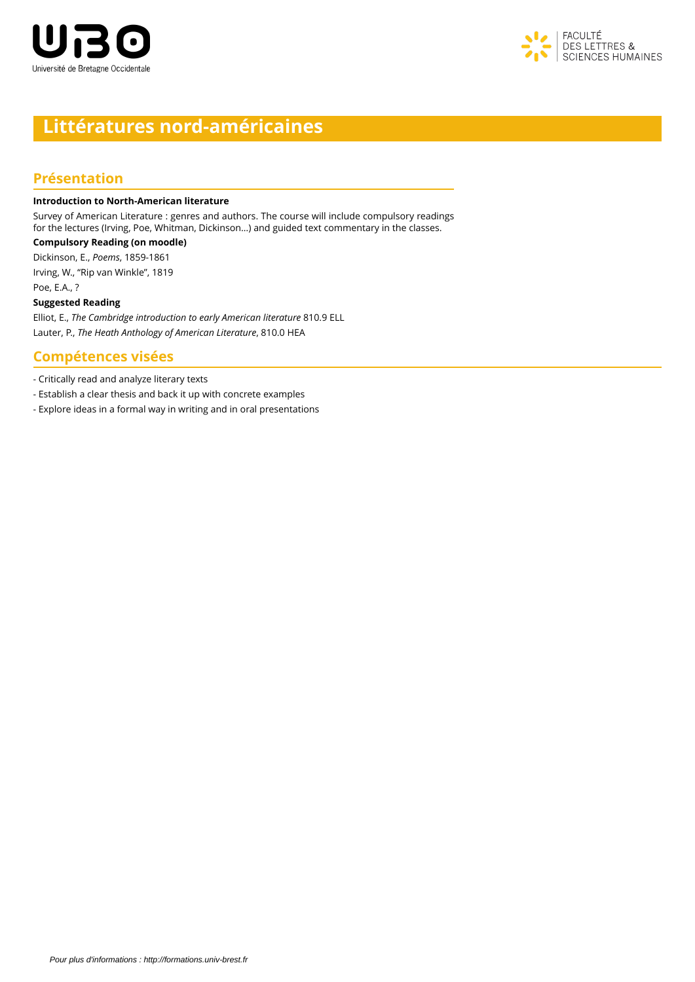



## **Littératures nord-américaines**

### **Présentation**

#### **Introduction to North-American literature**

Survey of American Literature : genres and authors. The course will include compulsory readings for the lectures (Irving, Poe, Whitman, Dickinson…) and guided text commentary in the classes.

**Compulsory Reading (on moodle)** Dickinson, E., *Poems*, 1859-1861 Irving, W., "Rip van Winkle", 1819 Poe, E.A., ?

#### **Suggested Reading**

Elliot, E., *The Cambridge introduction to early American literature* 810.9 ELL Lauter, P., *The Heath Anthology of American Literature*, 810.0 HEA

#### **Compétences visées**

- Critically read and analyze literary texts

- Establish a clear thesis and back it up with concrete examples

- Explore ideas in a formal way in writing and in oral presentations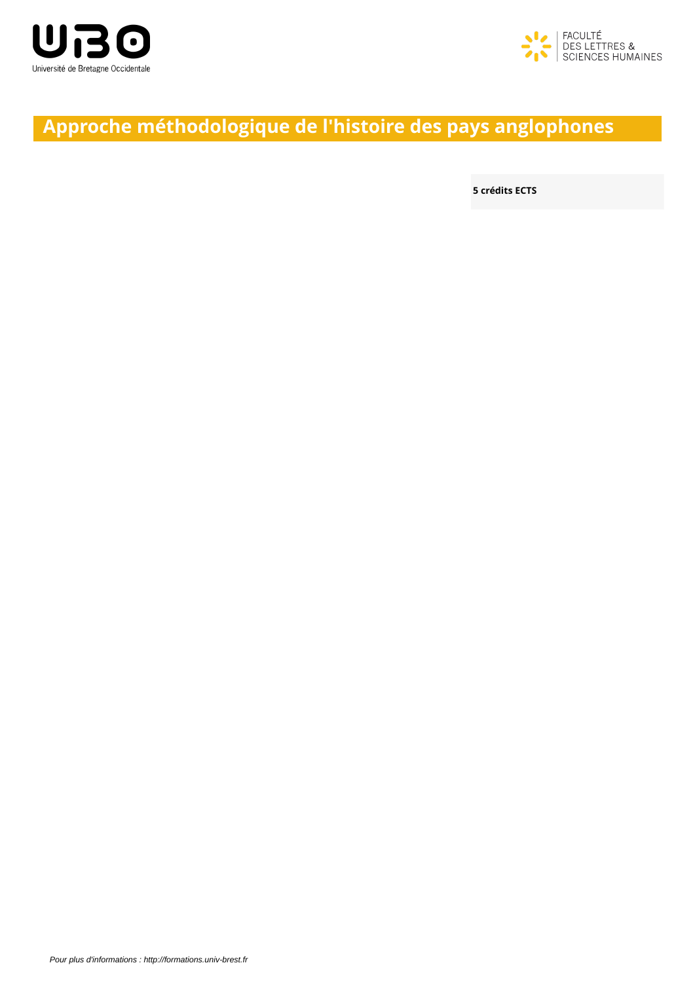



# **Approche méthodologique de l'histoire des pays anglophones**

**5 crédits ECTS**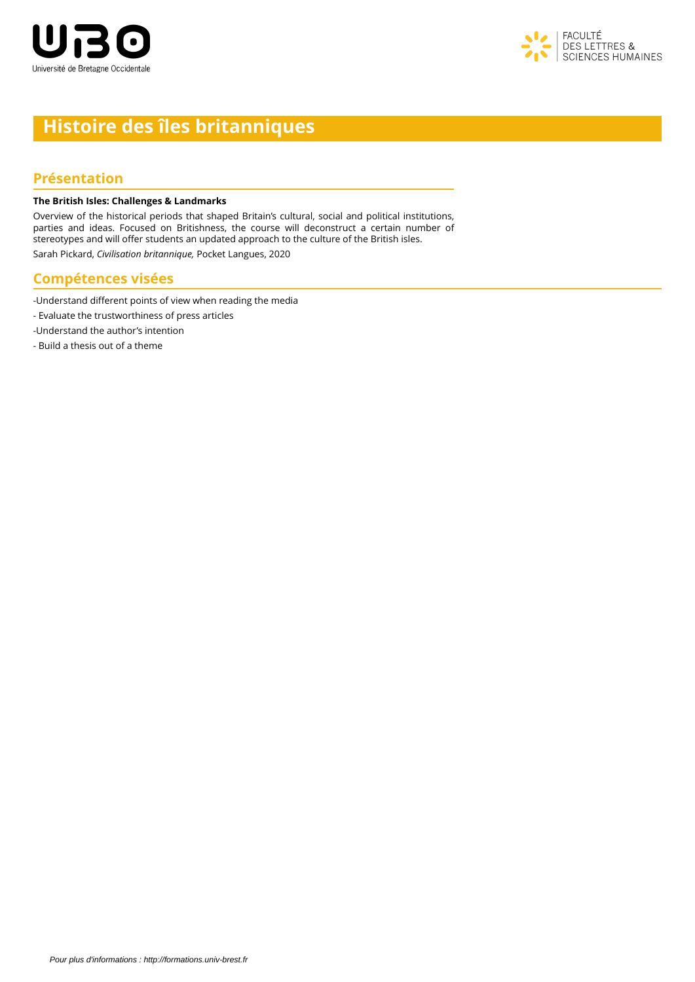



# **Histoire des îles britanniques**

#### **Présentation**

#### **The British Isles: Challenges & Landmarks**

Overview of the historical periods that shaped Britain's cultural, social and political institutions, parties and ideas. Focused on Britishness, the course will deconstruct a certain number of stereotypes and will offer students an updated approach to the culture of the British isles.

Sarah Pickard, *Civilisation britannique,* Pocket Langues, 2020

#### **Compétences visées**

- -Understand different points of view when reading the media
- Evaluate the trustworthiness of press articles
- -Understand the author's intention
- Build a thesis out of a theme